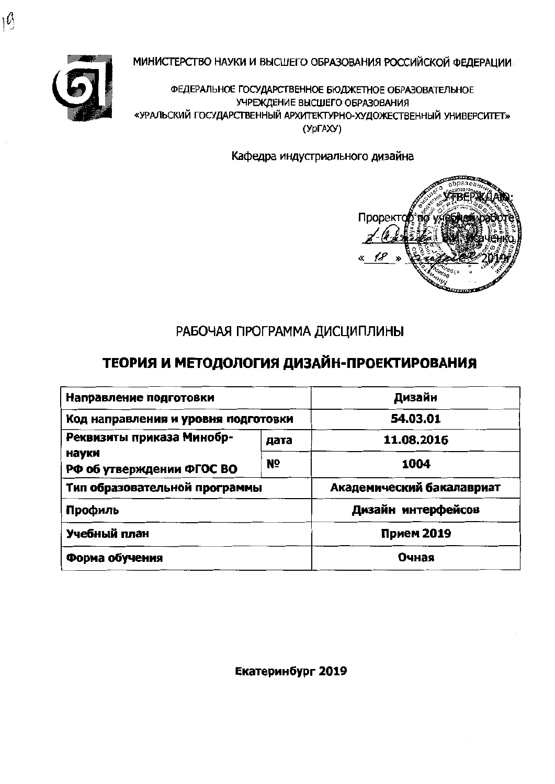

МИНИСТЕРСТВО НАУКИ И ВЫСШЕГО ОБРАЗОВАНИЯ РОССИЙСКОЙ ФЕДЕРАЦИИ

ФЕДЕРАЛЬНОЕ ГОСУДАРСТВЕННОЕ БЮДЖЕТНОЕ ОБРАЗОВАТЕЛЬНОЕ УЧРЕЖДЕНИЕ ВЫСШЕГО ОБРАЗОВАНИЯ «УРАЛЬСКИЙ ГОСУДАРСТВЕННЫЙ АРХИТЕКТУРНО-ХУДОЖЕСТВЕННЫЙ УНИВЕРСИТЕТ» (YDFAXY)

Кафедра индустриального дизайна



# РАБОЧАЯ ПРОГРАММА ДИСЦИПЛИНЫ

# ТЕОРИЯ И МЕТОДОЛОГИЯ ДИЗАЙН-ПРОЕКТИРОВАНИЯ

| Направление подготовки              | Дизайн     |                           |  |
|-------------------------------------|------------|---------------------------|--|
| Код направления и уровня подготовки | 54.03.01   |                           |  |
| Реквизиты приказа Минобр-           | 11.08.2016 |                           |  |
| науки<br>РФ об утверждении ФГОС ВО  | 1004       |                           |  |
| Тип образовательной программы       |            | Академический бакалавриат |  |
| Профиль                             |            | Дизайн интерфейсов        |  |
| Учебный план                        | Прием 2019 |                           |  |
| Форма обучения                      | Очная      |                           |  |

Екатеринбург 2019

١Ý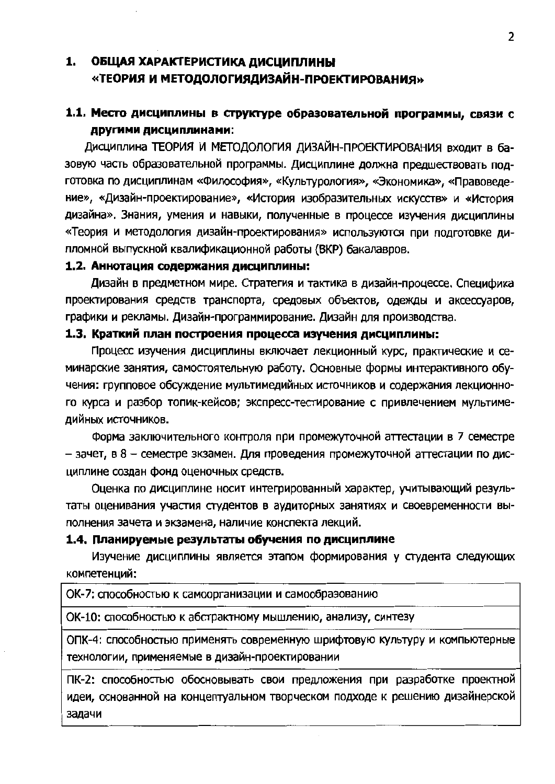## 1. ОБЩАЯ ХАРАКТЕРИСТИКА ДИСЦИПЛИНЫ «ТЕОРИЯ И МЕТОДОЛОГИЯДИЗАЙН-ПРОЕКТИРОВАНИЯ»

## 1.1. Место дисциплины в структуре образовательной программы, связи с другими дисциплинами:

Дисциплина ТЕОРИЯ И МЕТОДОЛОГИЯ ДИЗАЙН-ПРОЕКТИРОВАНИЯ входит в базовую часть образовательной программы. Дисциплине должна предшествовать подготовка по дисциплинам «Философия», «Культурология», «Экономика», «Правоведение», «Дизайн-проектирование», «История изобразительных искусств» и «История дизайна». Знания, умения и навыки, полученные в процессе изучения дисциплины «Теория и методология дизайн-проектирования» используются при подготовке дипломной выпускной квалификационной работы (ВКР) бакалавров.

#### 1.2. Аннотация содержания дисциплины:

Дизайн в предметном мире. Стратегия и тактика в дизайн-процессе. Специфика проектирования средств транспорта, средовых объектов, одежды и аксессуаров, графики и рекламы. Дизайн-программирование. Дизайн для производства.

#### 1.3. Краткий план построения процесса изучения дисциплины:

Процесс изучения дисциплины включает лекционный курс, практические и семинарские занятия, самостоятельную работу. Основные формы интерактивного обучения: групповое обсуждение мультимедийных источников и содержания лекционного курса и разбор топик-кейсов; экспресс-тестирование с привлечением мультимедийных источников.

Форма заключительного контроля при промежуточной аттестации в 7 семестре - зачет, в 8 - семестре зкзамен. Для проведения промежуточной аттестации по дисциплине создан фонд оценочных средств.

Оценка по дисциплине носит интегрированный характер, учитывающий результаты оценивания участия студентов в аудиторных занятиях и своевременности выполнения зачета и экзамена, наличие конспекта лекций.

#### 1.4. Планируемые результаты обучения по дисциплине

Изучение дисциплины является этапом формирования у студента следующих компетенций:

ОК-7: способностью к самоорганизации и самообраэованию

ОК-10: способностью к абстрактному мышлению, анализу, синтезу

ОПК-4: слособностью применять современную шрифтовую культуру и компьютерные технологии, применяемые в дизайн-проектировании

ПК-2: способностью обосновывать свои предложения при разработке проектной идеи, основанной на концептуальном творческом подходе к решению дизайнерской задачи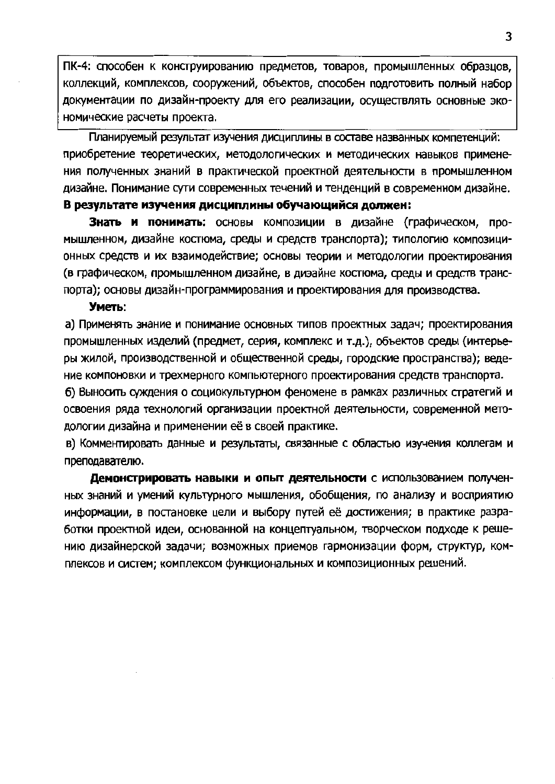ПК-4: способен к конструированию предметов, товаров, промышленных образцов, коллекций, комплексов, сооружений, объектов, способен подготовить полный набор документации по дизайн-проекту для его реализации, осуществлять основные экономические расчеты проекта.

Планируемый результат изучения дисциплины в составе названных компетенций: приобретение теоретических, методологических и методических навыков применения полученных знаний в практической проектной деятельности в промышленном дизайне. Понимание сути современных течений и тенденций в современном дизайне.

#### В результате изучения дисциплины обучающийся должен:

Знать и понимать: основы композиции в дизайне (графическом, промышленном, дизайне костюма, среды и средств транспорта); типологию композиционных средств и их взаимодействие; основы теории и методологии проектирования (в графическом, промышленном дизайне, в диэайне костюма, среды и средств транспорта): основы дизайн-программирования и проектирования для производства.

#### Уметь:

а) Применять знание и понимание основных типов проектных задач; проектирования промышленных изделий (предмет, серия, комплекс и т.д.), объектов среды (интерьеры жилой, производственной и общественной среды, городские пространства); ведение компоновки и трехмерного компьютерного проектирования средств транспорта.

б) Выносить суждения о социокультурном феномене в рамках различных стратегий и освоения ряда технологий организации проектной деятельности, современной методологии дизайна и применении её в своей практике.

в) Комментировать данные и результаты, связанные с областью изучения коллегам и преподавателю.

Демонстрировать навыки и опыт деятельности с использованием полученных знаний и умений культурного мышления, обобщения, по анализу и восприятию информации, в постановке цели и выбору путей её достижения; в практике разработки проектной идеи, основанной на концептуальном, творческом подходе к решению дизайнерской задачи; возможных приемов гармонизации форм, структур, комплексов и систем; комплексом функциональных и композиционных решений.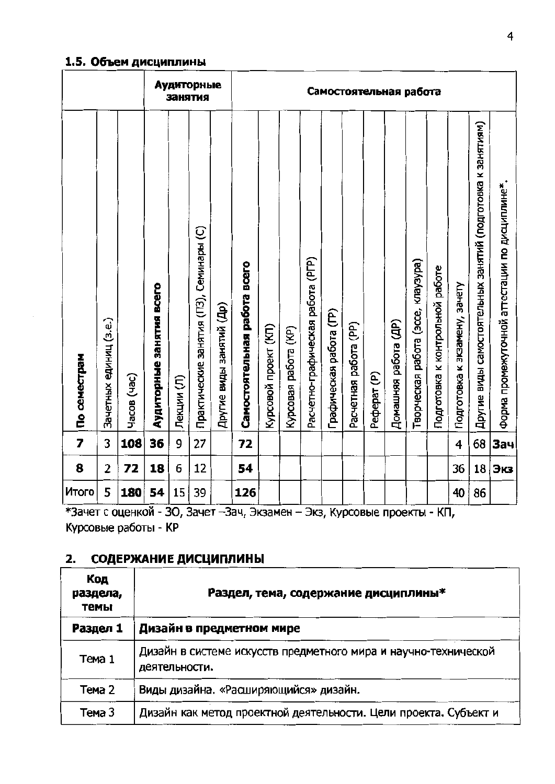#### 1.5. Объем дисциплины

|                         |                        |             |                          |            | Аудиторные<br>занятия                   |                          | Самостоятельная работа       |                      |                      |                                   |                         |                       |             |                      |                                    |                                 |                               |                                                             |                                                |
|-------------------------|------------------------|-------------|--------------------------|------------|-----------------------------------------|--------------------------|------------------------------|----------------------|----------------------|-----------------------------------|-------------------------|-----------------------|-------------|----------------------|------------------------------------|---------------------------------|-------------------------------|-------------------------------------------------------------|------------------------------------------------|
| По семестрам            | Зачетных единиц (з.е.) | Часов (час) | Аудиторные занятия всего | Лекции (Л) | Практические занятия (ПЗ), Семинары (С) | Другие виды занятий (Др) | Самостоятельная работа всего | Курсовой проект (КП) | Курсовая работа (KP) | Расчетно-графическая работа (РГР) | Графическая работа (ГР) | Расчетная работа (PP) | Pedepar (P) | Домашняя работа (ДР) | Творческая работа (эссе, клаузура) | Подготовка к контрольной работе | Подготовка к зкзамену, зачету | Другие виды самостоятельных занятий (подготовка к занятиям) | Форма промежуточной аттестации по дисциплине*. |
| $\overline{\mathbf{z}}$ | 3                      | 108         | 36                       | 9          | 27                                      |                          | 72                           |                      |                      |                                   |                         |                       |             |                      |                                    |                                 | 4                             | 68                                                          | Зач                                            |
| 8                       | 2                      | 72          | 18                       | 6          | 12                                      |                          | 54                           |                      |                      |                                   |                         |                       |             |                      |                                    |                                 | 36                            | 18                                                          | Экз                                            |
| Итого                   | 5                      | 180         | 54                       | 15         | 39                                      |                          | 126                          |                      |                      |                                   |                         |                       |             |                      |                                    |                                 | 40                            | 86                                                          |                                                |

\*Зачет с оценкой - 30, Зачет - Зач, Экзамен - Экз, Курсовые проекты - КП, Курсовые работы - КР

# 2. СОДЕРЖАНИЕ ДИСЦИПЛИНЫ

| Код<br>раздела,<br>темы | Раздел, тема, содержание дисциплины*                                             |  |  |  |  |  |  |
|-------------------------|----------------------------------------------------------------------------------|--|--|--|--|--|--|
| Раздел 1                | Дизайн в предметном мире                                                         |  |  |  |  |  |  |
| Тема 1                  | Дизайн в системе искусств предметного мира и научно-технической<br>деятельности. |  |  |  |  |  |  |
| Тема 2                  | Виды дизайна. «Расширяющийся» дизайн.                                            |  |  |  |  |  |  |
| Тема 3                  | Дизайн как метод проектной деятельности. Цели проекта. Субъект и                 |  |  |  |  |  |  |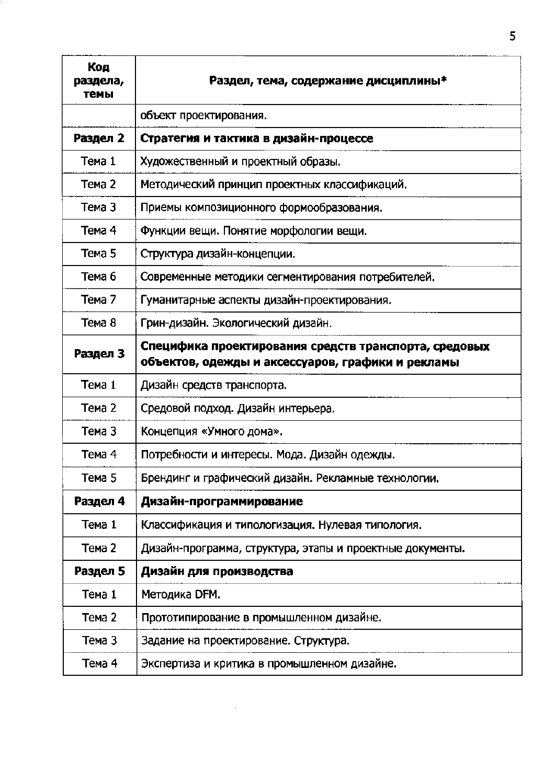| Код<br>раздела,<br>темы | Раздел, тема, содержание дисциплины*                                                                       |
|-------------------------|------------------------------------------------------------------------------------------------------------|
|                         | объект проектирования.                                                                                     |
| Раздел 2                | Стратегия и тактика в дизайн-процессе                                                                      |
| Тема 1                  | Художественный и проектный образы.                                                                         |
| Tema 2                  | Методический принцип проектных классификаций.                                                              |
| Тема 3                  | Приемы композиционного формообразования.                                                                   |
| Тема 4                  | Функции вещи. Понятие морфологии вещи.                                                                     |
| Тема 5                  | Структура дизайн-концепции.                                                                                |
| Тема 6                  | Современные методики сегментирования потребителей.                                                         |
| Тема 7                  | Гуманитарные аспекты дизайн-проектирования.                                                                |
| Тема 8                  | Грин-дизайн. Экологический дизайн.                                                                         |
| Раздел 3                | Специфика проектирования средств транспорта, средовых<br>объектов, одежды и аксессуаров, графики и рекламы |
| Тема 1                  | Дизайн средств транспорта.                                                                                 |
| Тема 2                  | Средовой подход. Дизайн интерьера.                                                                         |
| Тема 3                  | Концепция «Умного дома».                                                                                   |
| Тема 4                  | Потребности и интересы. Мода. Дизайн одежды.                                                               |
| Тема 5                  | Брендинг и графический дизайн. Рекламные технологии.                                                       |
| Раздел 4                | Дизайн-программирование                                                                                    |
| Tema 1                  | Классификация и типологизация. Нулевая типология.                                                          |
| Тема 2                  | Дизайн-программа, структура, этапы и проектные документы.                                                  |
| Раздел 5                | Дизайн для производства                                                                                    |
| Тема 1                  | Методика DFM.                                                                                              |
| Тема 2                  | Прототипирование в промышленном дизайне.                                                                   |
| Тема 3                  | Задание на проектирование. Структура.                                                                      |
| Тема 4                  | Экспертиза и критика в промышленном дизайне.                                                               |
|                         |                                                                                                            |

 $\mathcal{L}^{\text{max}}_{\text{max}}$  ,  $\mathcal{L}^{\text{max}}_{\text{max}}$ 

 $\overline{5}$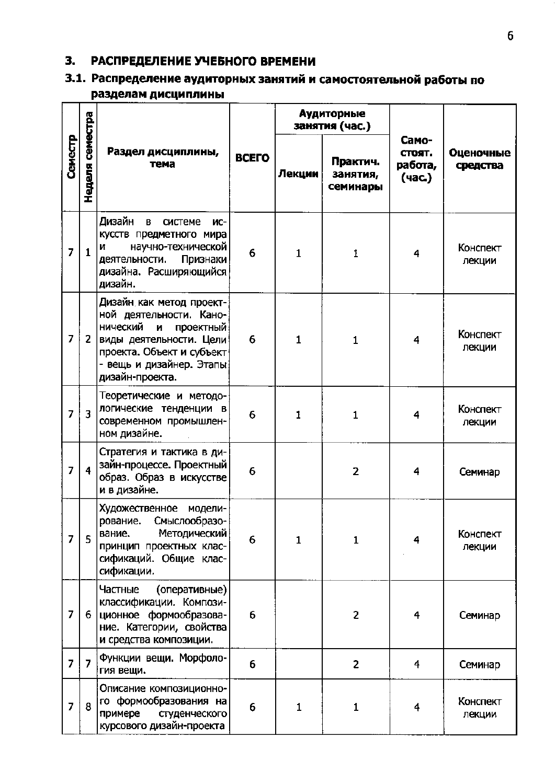# 3. РАСПРЕДЕЛЕНИЕ УЧЕБНОГО ВРЕМЕНИ

# 3.1. Распределение аудиторных занятий и самостоятельной работы по разделам дисциплины

|                |                         |                                                                                                                                                                                           |              |              | <b>Аудиторные</b><br>занятия (час.) |                                      |                       |
|----------------|-------------------------|-------------------------------------------------------------------------------------------------------------------------------------------------------------------------------------------|--------------|--------------|-------------------------------------|--------------------------------------|-----------------------|
| Семестр        | Неделя семестра         | Раздел дисциплины,<br>тема                                                                                                                                                                | <b>BCEFO</b> | Лекции       | Практич.<br>занятия,<br>семинары    | Само-<br>CTOЯT.<br>работа,<br>(час.) | Оценочные<br>средства |
| $\overline{7}$ | $\mathbf{1}$            | Дизайн<br>B<br>системе<br>ИC-<br>кусств предметного мира<br>научно-технической<br>N<br>Признаки<br>деятельности.<br>дизайна. Расширяющийся<br>дизайн.                                     | 6            | $\mathbf{1}$ | 1                                   | 4                                    | Конспект<br>лекции    |
| $\overline{7}$ | $\overline{2}$          | Дизайн как метод проект-<br>ной деятельности. Кано-<br>нический<br>проектный<br>И<br>виды деятельности. Цели<br>проекта. Объект и субъект<br>- вещь и дизайнер. Этапы)<br>дизайн-проекта. | 6            | $\mathbf{1}$ | $\mathbf{1}$                        | 4                                    | Конспект<br>лекции    |
| 7              | $\overline{\mathbf{3}}$ | Теоретические и методо-<br>логические тенденции в<br>современном промышлен-<br>ном дизайне.                                                                                               | 6            | 1            | 1                                   | 4                                    | Конспект<br>лекции    |
| $\overline{7}$ | $\overline{\mathbf{4}}$ | Стратегия и тактика в ди-<br>зайн-процессе. Проектный<br>образ. Образ в искусстве<br>и в дизайне.                                                                                         | 6            |              | 2                                   | 4                                    | Семинар               |
| $\overline{7}$ | 5                       | Художественное модели-<br>рование. Смыслообразо-<br>Методический<br>вание.<br>принцип проектных клас-<br>сификаций. Общие клас-<br>сификации.                                             | 6            | $\mathbf{1}$ | $\mathbf{1}$                        | 4                                    | Конспект<br>лекции    |
| 7              | 6                       | Частные<br>(оперативные)<br>классификации. Компози-<br>ционное формообразова-<br>ние. Категории, свойства<br>и средства композиции.                                                       | 6            |              | 2                                   | 4                                    | Семинар               |
| $\overline{7}$ | $\overline{7}$          | Функции вещи. Морфоло-<br>гия вещи.                                                                                                                                                       | 6            |              | 2                                   | 4                                    | Семинар               |
| 7              | 8                       | Описание композиционно-<br>го формообразования на<br>примере<br>студенческого<br>курсового дизайн-проекта                                                                                 | 6            | $\mathbf{1}$ | $\mathbf{1}$                        | 4                                    | Конспект<br>лекции    |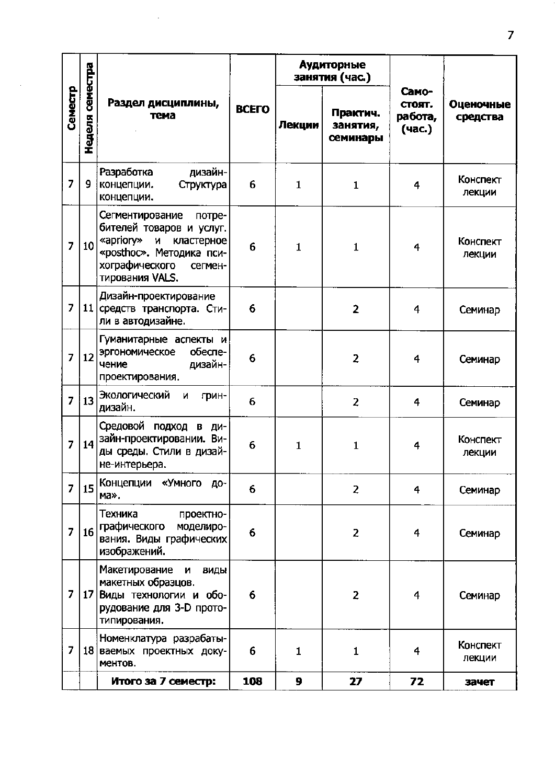|                |                 |                                                                                                                                                                          |              |              | <b>Аудиторные</b><br>занятия (час.) |                                      |                       |  |
|----------------|-----------------|--------------------------------------------------------------------------------------------------------------------------------------------------------------------------|--------------|--------------|-------------------------------------|--------------------------------------|-----------------------|--|
| Семестр        | Неделя семестра | Раздел дисциплины,<br>тема                                                                                                                                               | <b>BCEFO</b> | Лекции       | Практич.<br>занятия,<br>семинары    | Само-<br>стоят.<br>работа,<br>(час.) | Оценочные<br>средства |  |
| $\overline{7}$ | 9               | дизайн-<br>Разработка<br>концепции.<br>Структура<br>концепции.                                                                                                           | 6            | $\mathbf{1}$ | $\mathbf{1}$                        | 4                                    | Конспект<br>лекции    |  |
| $\overline{z}$ | 10              | Сегментирование<br>потре-<br>бителей товаров и услуг.<br>«apriory»<br>M<br>кластерное<br>«posthoc». Методика пси-<br>хографического<br>сегмен-<br><b>ТИРОВАНИЯ VALS.</b> | 6            | $\mathbf{1}$ | $\mathbf{1}$                        | 4                                    | Конспект<br>лекции    |  |
| $\overline{7}$ |                 | Дизайн-проектирование<br>11 средств транспорта. Сти-<br>ли в автодизайне.                                                                                                | 6            |              | $\overline{2}$                      | 4                                    | Семинар               |  |
| $\overline{7}$ | 12 <sub>2</sub> | Гуманитарные аспекты и<br>эргономическое<br>обеспе-<br>дизайн-<br>чение<br>проектирования.                                                                               | 6            |              | 2                                   | 4                                    | Семинар               |  |
| $\overline{7}$ | 13              | Экологический<br>и<br>грин-<br>дизайн.                                                                                                                                   | 6            |              | 2                                   | 4                                    | Семинар               |  |
| $\overline{7}$ | 14              | Средовой подход в<br>ДИ-<br>зайн-проектировании. Ви-<br>ды среды. Стили в дизай-<br>не-интерьера.                                                                        | 6            | $\mathbf{1}$ | $\mathbf{1}$                        | 4                                    | Конспект<br>лекции    |  |
| $\overline{7}$ | 15              | Концепции «Умного до-<br>ма».                                                                                                                                            | 6            |              | 2                                   | 4                                    | Семинар               |  |
| $\overline{7}$ | 16              | Техника<br>проектно-<br>графического<br>моделиро-<br>вания. Виды графических<br>изображений.                                                                             | 6            |              | 2                                   | 4                                    | Семинар               |  |
| 7              |                 | Макетирование<br>и<br>ВИДЫ<br>макетных образцов.<br>17 Виды технологии и обо-<br>рудование для 3-D прото-<br>типирования.                                                | 6            |              | $\overline{z}$                      | 4                                    | Семинар               |  |
| $\overline{7}$ |                 | Номенклатура разрабаты-<br>18 ваемых проектных доку-<br>MeHTOB.                                                                                                          | 6            | $\mathbf{1}$ | $\mathbf{1}$                        | 4                                    | Конспект<br>лекции    |  |
|                |                 | Итого за 7 семестр:                                                                                                                                                      | 108          | 9            | 27                                  | 72                                   | зачет                 |  |

 $\sim$ 

l,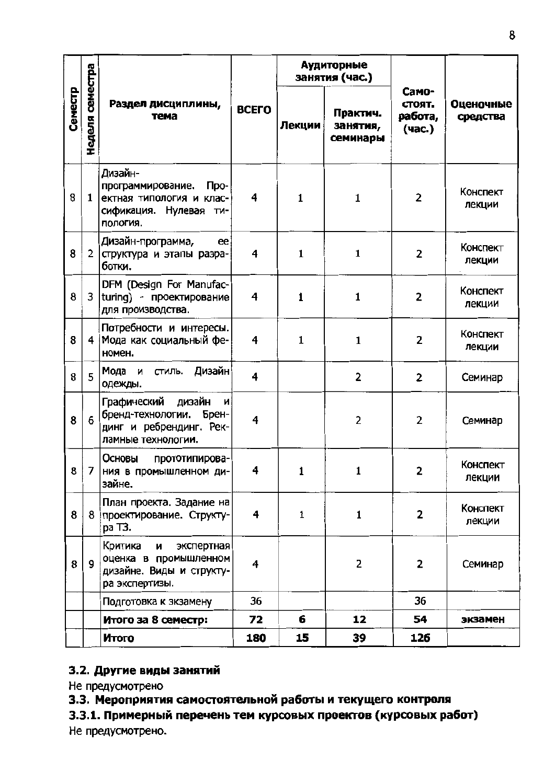|         |                 |                                                                                                          |              |              | Аудиторные<br>занятия (час.)     |                                      |                       |  |
|---------|-----------------|----------------------------------------------------------------------------------------------------------|--------------|--------------|----------------------------------|--------------------------------------|-----------------------|--|
| Семестр | Неделя семестра | Раздел дисциплины,<br>тема                                                                               | <b>BCEFO</b> | Лекции       | Практич.<br>занятия,<br>семинары | Само-<br>стоят.<br>работа,<br>(час.) | Оценочные<br>средства |  |
| 8       | $\mathbf{1}$    | Дизайн-<br>Про-<br>программирование.<br> ектная типология и клас-<br>сификация. Нулевая ти-<br>пология.  | 4            | $\mathbf{1}$ | $\mathbf{1}$                     | $\overline{2}$                       | Конспект<br>лекции    |  |
| 8       | $\overline{2}$  | Дизайн-программа,<br>ee<br>структура и этапы разра-<br>ботки.                                            | 4            | $\mathbf{1}$ | $\mathbf{1}$                     | $\overline{2}$                       | Конспект<br>лекции    |  |
| 8       | 3               | DFM (Design For Manufac-<br>turing) - проектирование<br>для производства.                                | 4            | 1            | $\mathbf{1}$                     | 2                                    | Конспект<br>лекции    |  |
| 8       | 4               | Потребности и интересы.<br>Мода как социальный фе-<br>номен.                                             | 4            | $\mathbf{1}$ | $\mathbf{1}$                     | 2                                    | Конспект<br>лекции    |  |
| 8       | 5               | стиль. Дизайн<br>Мода и<br>одежды.                                                                       | 4            |              | 2                                | $\overline{2}$                       | Семинар               |  |
| 8       | 6               | Графический<br>дизайн<br>_и∣<br>бренд-технологии. Брен-<br>динг и ребрендинг. Рек-<br>ламные технологии. | 4            |              | $\overline{2}$                   | 2                                    | Семинар               |  |
| 8       |                 | Основы<br>прототипирова-<br>7 НИЯ В Промышленном ди-<br>зайне.                                           | 4            | 1            | 1                                | 2                                    | Конспект<br>лекции    |  |
| 8       |                 | План проекта. Задание на<br>8 проектирование. Структу-<br>ра ТЗ.                                         | 4            | 1            | $\mathbf{1}$                     | $\overline{2}$                       | Конспект<br>лекции    |  |
| 8       | 9               | Критика<br>экспертная<br>и<br>оценка в промышленном<br>дизайне. Виды и структу-<br>ра экспертизы.        | 4            |              | $\overline{2}$                   | 2                                    | Семинар               |  |
|         |                 | Подготовка к зкзамену                                                                                    | 36           |              |                                  | 36                                   |                       |  |
|         |                 | Итого за 8 семестр:                                                                                      | 72           | 6            | 12                               | 54                                   | экзамен               |  |
|         |                 | Итого                                                                                                    | 180          | 15           | 39                               | 126                                  |                       |  |

# 3.2. Другие виды занятий

Не предусмотрено

3.3. Мероприятия самостоятельной работы и текущего контроля

3.3.1. Примерный перечень тем курсовых проектов (курсовых работ) Не предусмотрено.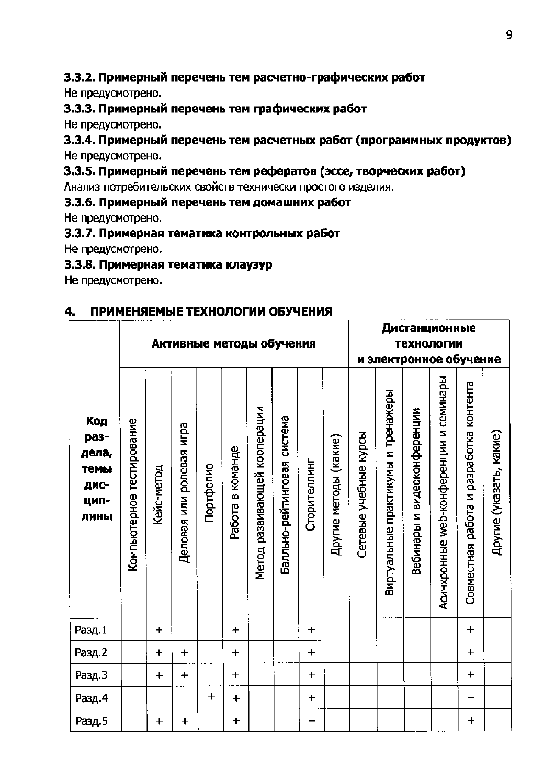#### 3.3.2. Примерный перечень тем расчетно-графических работ

Не предусмотрено.

#### 3.3.3. Примерный перечень тем графических работ

Не предусмотрено.

#### 3.3.4. Примерный перечень тем расчетных работ (программных продуктов) Не предусмотрено.

#### 3.3.5. Примерный перечень тем рефератов (эссе, творческих работ)

Анализ потребительских свойств технически простого изделия.

#### 3.3.6. Примерный перечень тем домашних работ

Не предусмотрено.

#### 3.3.7. Примерная тематика контрольных работ

Не предусмотрено.

#### 3.3.8. Примерная тематика клаузур

Не предусмотрено.

#### $4<sub>-</sub>$ ПРИМЕНЯЕМЫЕ ТЕХНОЛОГИИ ОБУЧЕНИЯ

|                                                      |                           | Активные методы обучения |                          |           |                  |                              |                             |              |                       |                       |                                    | Дистанционные<br>технологии<br>и электронное обучение |                                        |                                         |                         |  |  |
|------------------------------------------------------|---------------------------|--------------------------|--------------------------|-----------|------------------|------------------------------|-----------------------------|--------------|-----------------------|-----------------------|------------------------------------|-------------------------------------------------------|----------------------------------------|-----------------------------------------|-------------------------|--|--|
| Код<br>раз-<br>дела,<br>темы<br>дис-<br>цип-<br>лины | Компьютерное тестирование | Кейс-метод               | Деловая или ролевая игра | Портфолио | Работа в команде | Метод развивающей кооперации | Балльно-рейтинговая система | Сторителлинг | Другие методы (какие) | Сетевые учебные курсы | Виртуальные практикумы и тренажеры | видеоконференции<br>Вебинары и                        | Асинхронные web-конференции и семинары | Совместная работа и разработка контента | Другие (указать, какие) |  |  |
| Разд.1                                               |                           | $\ddot{}$                |                          |           | $\ddot{}$        |                              |                             | $+$          |                       |                       |                                    |                                                       |                                        | $\ddot{}$                               |                         |  |  |
| Разд.2                                               |                           | $\ddagger$               | $\ddagger$               |           | $\ddot{}$        |                              |                             | $\ddot{}$    |                       |                       |                                    |                                                       |                                        | $\ddot{\phantom{1}}$                    |                         |  |  |
| Разд.3                                               |                           | $+$                      | $+$                      |           | $\ddagger$       |                              |                             | $+$          |                       |                       |                                    |                                                       |                                        | $\ddagger$                              |                         |  |  |
| Разд.4                                               |                           |                          |                          | $\ddot{}$ | $\ddot{}$        |                              |                             | $\ddagger$   |                       |                       |                                    |                                                       |                                        | $\ddot{}$                               |                         |  |  |
| Разд.5                                               |                           | $\ddagger$               | $\ddagger$               |           | $\ddagger$       |                              |                             | $\ddag$      |                       |                       |                                    |                                                       |                                        | $\ddagger$                              |                         |  |  |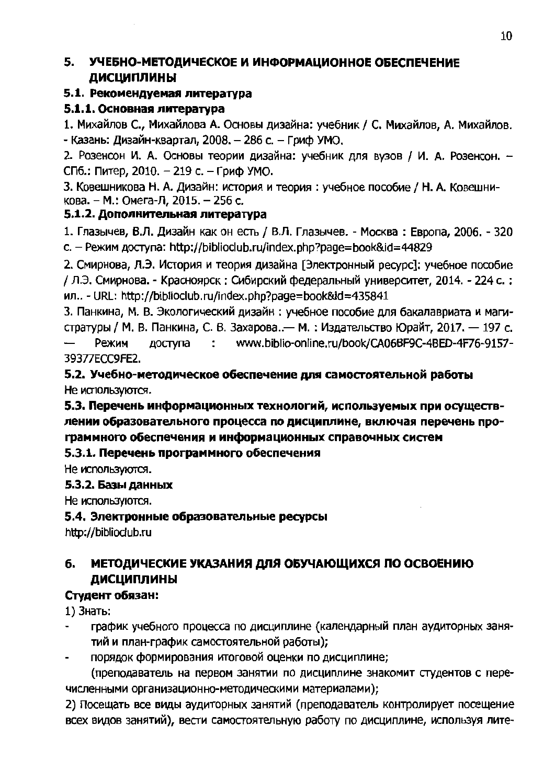#### УЧЕБНО-МЕТОДИЧЕСКОЕ И ИНФОРМАЦИОННОЕ ОБЕСПЕЧЕНИЕ 5. **ДИСЦИПЛИНЫ**

### 5.1. Рекомендуемая литература

## 5.1.1. Основная литература

1. Михайлов С., Михайлова А. Основы дизайна: учебник / С. Михайлов, А. Михайлов. - Казань: Дизайн-квартал, 2008. - 286 с. - Гриф УМО,

2. Розенсон И. А. Основы теории дизайна: учебник для вузов / И. А. Розенсон. -СПб.: Питер, 2010. - 219 с. - Гриф УМО.

3. Ковешникова Н. А. Дизайн: история и теория: учебное пособие / Н. А. Ковешникова. - М.: Омега-Л. 2015. - 256 с.

## 5.1.2. Дополнительная литература

1. Глазычев, В.Л. Дизайн как он есть / В.Л. Глазычев. - Москва: Европа, 2006. - 320 c. - Режим доступа: http://biblioclub.ru/index.php?page=book&id=44829

2. Смирнова, Л.Э. История и теория дизайна [Электронный ресурс]: учебное пособие / Л.Э. Смирнова. - Красноярск: Сибирский федеральный университет, 2014. - 224 с.: ил.. - URL: http://biblioclub.ru/index.php?page=book&id=435841

3. Панкина, М. В. Экологический дизайн: учебное пособие для бакалавриата и магистратуры / М. В. Панкина, С. В. Захарова.. - М. : Издательство Юрайт, 2017. - 197 с. www.biblio-online.ru/book/CA06BF9C-4BED-4F76-9157- $\overline{\phantom{0}}$ Режим доступа  $\sim 200$ 39377ECC9FE2.

### 5.2. Учебно-методическое обеспечение для самостоятельной работы Не используются.

5.3. Перечень информационных технологий, используемых при осуществлении образовательного процесса по дисциплине, включая перечень программного обеспечения и информационных справочных систем

## 5.3.1. Перечень программного обеспечения

Не используются.

### 5.3.2. Базы данных

Не используются.

### 5.4. Электронные образовательные ресурсы

http://biblioclub.ru

#### МЕТОДИЧЕСКИЕ УКАЗАНИЯ ДЛЯ ОБУЧАЮЩИХСЯ ПО ОСВОЕНИЮ б. ДИСЦИПЛИНЫ

## Студент обязан:

1) Знать:

- график учебного процесса по дисциплине (календарный план аудиторных занятий и план-график самостоятельной работы);
- порядок формирования итоговой оценки по дисциплине;

(преподаватель на первом занятии по дисциплине знакомит студентов с перечисленными организационно-методическими материалами);

2) Посещать все виды аудиторных занятий (преподаватель контролирует посещение всех видов занятий), вести самостоятельную работу по дисциплине, используя лите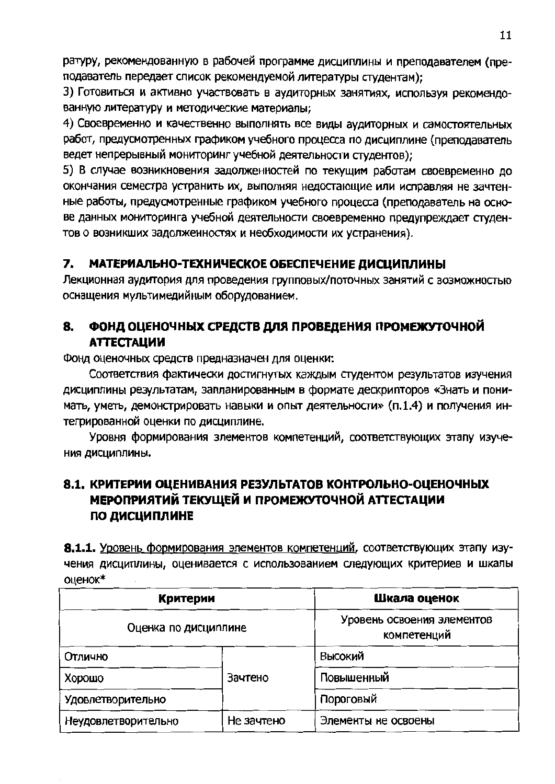ратуру, рекомендованную в рабочей программе дисциплины и преподавателем (преподаватель передает список рекомендуемой литературы студентам);

3) Готовиться и активно участвовать в аудиторных занятиях, используя рекомендованную литературу и методические материалы:

4) Своевременно и качественно выполнять все виды аудиторных и самостоятельных работ, предусмотренных графиком учебного процесса по дисциплине (преподаватель ведет непрерывный мониторинг учебной деятельности студентов);

5) В случае возникновения задолженностей по текущим работам своевременно до окончания семестра устранить их, выполняя недостающие или исправляя не зачтенные работы, предусмотренные графиком учебного процесса (преподаватель на основе данных мониторинга учебной деятельности своевременно предупреждает студентов о возникших задолженностях и необходимости их устранения).

#### 7. МАТЕРИАЛЬНО-ТЕХНИЧЕСКОЕ ОБЕСПЕЧЕНИЕ ДИСЦИПЛИНЫ

Лекционная аудитория для проведения групповых/поточных занятий с возможностью оснащения мультимедийным оборудованием.

#### 8. ФОНД ОЦЕНОЧНЫХ СРЕДСТВ ДЛЯ ПРОВЕДЕНИЯ ПРОМЕЖУТОЧНОЙ **АТТЕСТАЦИИ**

Фонд оценочных средств предназначен для оценки:

Соответствия фактически достигнутых каждым студентом результатов изучения дисциплины результатам, запланированным в формате дескрипторов «Знать и понимать, уметь, демонстрировать навыки и опыт деятельности» (п.1.4) и получения интегрированной оценки по дисциплине.

Уровня формирования злементов компетенций, соответствующих этапу изуче-НИЯ ДИСЦИПЛИНЫ.

# 8.1, КРИТЕРИИ ОЦЕНИВАНИЯ РЕЗУЛЬТАТОВ КОНТРОЛЬНО-ОЦЕНОЧНЫХ МЕРОПРИЯТИЙ ТЕКУШЕЙ И ПРОМЕЖУТОЧНОЙ АТТЕСТАЦИИ ПО ДИСЦИПЛИНЕ

8.1.1. Уровень формирования элементов компетенций, соответствующих этапу изучения дисциплины, оценивается с использованием следующих критериев и шкалы оценок\*

| Критерии             | Шкала оценок                              |                     |  |  |
|----------------------|-------------------------------------------|---------------------|--|--|
| Оценка по дисциплине | Уровень освоения элементов<br>компетенций |                     |  |  |
| Отлично              |                                           | Высокий             |  |  |
| Хорошо               | Зачтено                                   | Повышенный          |  |  |
| Удовлетворительно    |                                           | Пороговый           |  |  |
| Неудовлетворительно  | Не зачтено                                | Элементы не освоены |  |  |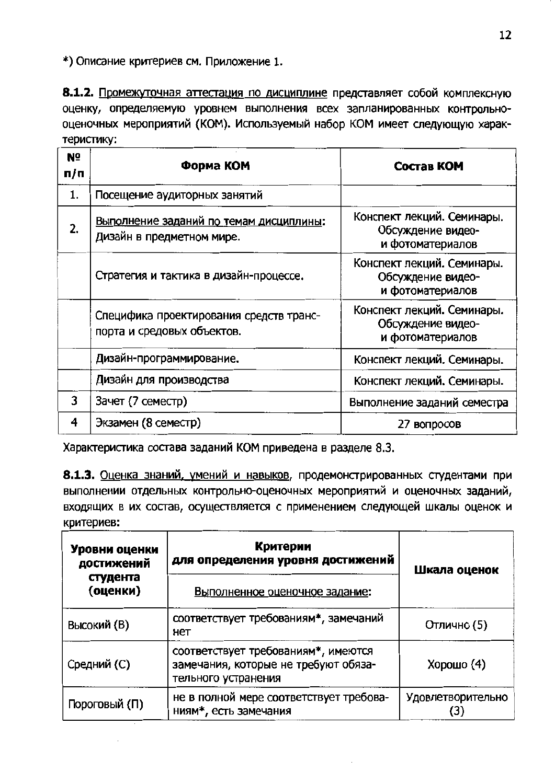\*) Описание критериев см. Приложение 1.

8.1.2. Промежуточная аттестация по дисциплине представляет собой комплексную оценку, определяемую уровнем выполнения всех запланированных контрольнооценочных мероприятий (КОМ). Используемый набор КОМ имеет следующую характеристику:

| N <sub>o</sub><br>п/п | Форма КОМ                                                             | Состав КОМ                                                          |
|-----------------------|-----------------------------------------------------------------------|---------------------------------------------------------------------|
| 1.                    | Посещение аудиторных занятий                                          |                                                                     |
| 2.                    | Выполнение заданий по темам дисциплины:<br>Дизайн в предметном мире.  | Конспект лекций. Семинары.<br>Обсуждение видео-<br>и фотоматериалов |
|                       | Стратегия и тактика в дизайн-процессе.                                | Конспект лекций. Семинары.<br>Обсуждение видео-<br>и фотоматериалов |
|                       | Специфика проектирования средств транс-<br>порта и средовых объектов. | Конспект лекций. Семинары.<br>Обсуждение видео-<br>и фотоматериалов |
|                       | Дизайн-программирование.                                              | Конспект лекций. Семинары.                                          |
|                       | Дизайн для производства                                               | Конспект лекций. Семинары.                                          |
| 3                     | Зачет (7 семестр)                                                     | Выполнение заданий семестра                                         |
| 4                     | Экзамен (8 семестр)                                                   | 27 вопросов                                                         |

Характеристика состава заданий КОМ приведена в разделе 8.3.

8.1.3. Оценка знаний, умений и навыков, продемонстрированных студентами при выполнении отдельных контрольно-оценочных мероприятий и оценочных заданий, входящих в их состав, осуществляется с применением следующей шкалы оценок и критериев:

| Уровни оценки<br>достижений<br>студента<br>(оценки) | Критерии<br>для определения уровня достижений<br>Выполненное оценочное задание:                    | Шкала оценок             |
|-----------------------------------------------------|----------------------------------------------------------------------------------------------------|--------------------------|
| Высокий (В)                                         | соответствует требованиям*, замечаний<br>нет                                                       | Отлично (5)              |
| Средний (С)                                         | соответствует требованиям*, имеются<br>замечания, которые не требуют обяза-<br>тельного устранения | Хорошо (4)               |
| Пороговый (П)                                       | не в полной мере соответствует требова-<br>ниям*, есть замечания                                   | <b>Удовлетворительно</b> |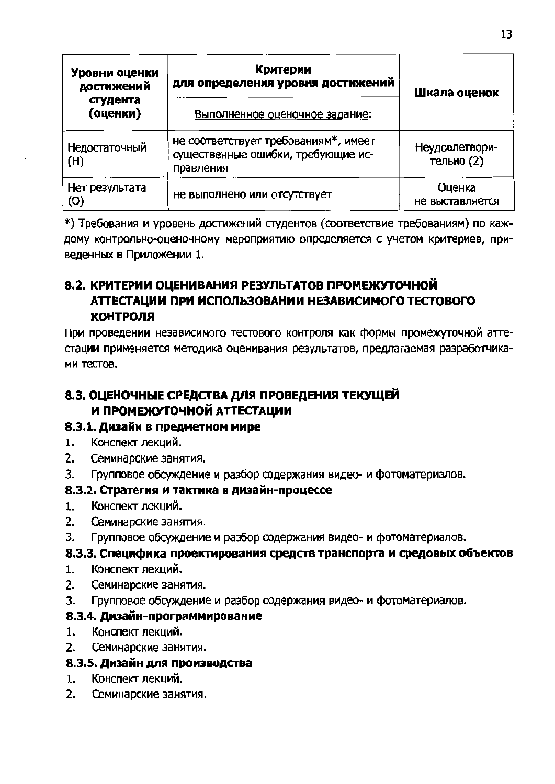| Уровни оценки<br>достижений<br>студента<br>(оценки) | Критерии<br>для определения уровня достижений<br>Выполненное оценочное задание:         | Шкала оценок                 |
|-----------------------------------------------------|-----------------------------------------------------------------------------------------|------------------------------|
| Недостаточный<br>(H)                                | не соответствует требованиям*, имеет<br>существенные ошибки, требующие ис-<br>правления | Неудовлетвори-<br>тельно (2) |
| Нет результата<br>(0)                               | не выполнено или отсутствует                                                            | Оценка<br>не выставляется    |

\*) Требования и уровень достижений студентов (соответствие требованиям) по каждому контрольно-оценочному мероприятию определяется с учетом критериев, приведенных в Приложении 1.

## 8.2. КРИТЕРИИ ОЦЕНИВАНИЯ РЕЗУЛЬТАТОВ ПРОМЕЖУТОЧНОЙ АТТЕСТАЦИИ ПРИ ИСПОЛЬЗОВАНИИ НЕЗАВИСИМОГО ТЕСТОВОГО **КОНТРОЛЯ**

При проведении независимого тестового контроля как формы промежуточной аттестации применяется методика оценивания результатов, предлагаемая разработчиками тестов.

# 8.3. ОЦЕНОЧНЫЕ СРЕДСТВА ДЛЯ ПРОВЕДЕНИЯ ТЕКУЩЕЙ И ПРОМЕЖУТОЧНОЙ АТТЕСТАЦИИ

### 8.3.1. Дизайн в предметном мире

- $1.$ Конспект лекций.
- $2<sub>-</sub>$ Семинарские занятия.
- 3. Групповое обсуждение и разбор содержания видео- и фотоматериалов.

### 8.3.2. Стратегия и тактика в дизайн-процессе

- $1.$ Конспект лекций.
- $2<sup>1</sup>$ Семинарские занятия.
- 3. Групповое обсуждение и разбор содержания видео- и фотоматериалов.

### 8.3.3. Специфика проектирования средств транспорта и средовых объектов

- $1.$ Конспект лекций.
- $2.$ Семинарские занятия.
- $3<sub>1</sub>$ Групповое обсуждение и разбор содержания видео- и фотоматериалов.

### 8.3.4. Дизайн-программирование

- $1<sub>1</sub>$ Конспект лекций.
- $2.$ Семинарские занятия.

### 8.3.5. Дизайн для производства

- 1. Конспект лекций.
- $2<sup>1</sup>$ Семинарские занятия.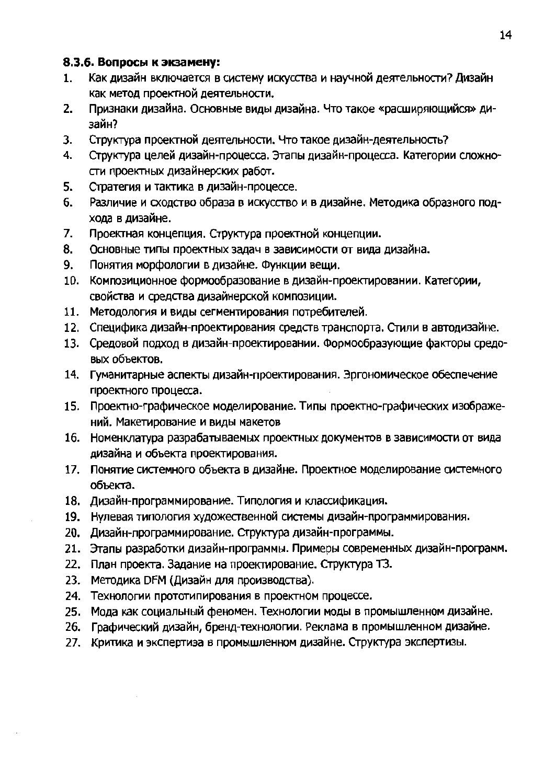#### 8.3.6. Вопросы к экзамену:

- Как дизайн включается в систему искусства и научной деятельности? Дизайн  $1<sub>1</sub>$ как метод проектной деятельности.
- Признаки дизайна. Основные виды дизайна. Что такое «расширяющийся» ди- $2.$ зайн?
- Структура проектной деятельности. Что такое дизайн-деятельность? 3.
- $4<sub>-</sub>$ Структура целей дизайн-процесса. Этапы дизайн-процесса. Категории сложности проектных дизайнерских работ.
- 5. Стратегия и тактика в дизайн-процессе.
- Различие и сходство образа в искусство и в дизайне. Методика образного под-6. хода в дизайне.
- Проектная концепция. Структура проектной концепции. 7.
- 8. Основные типы проектных задач в зависимости от вида дизайна.
- Понятия морфологии в дизайне. Функции вещи. 9.
- 10. Композиционное формообразование в дизайн-проектировании. Категории, свойства и средства дизайнерской композиции.
- 11. Методология и виды сегментирования потребителей.
- 12. Специфика дизайн-проектирования средств транспорта. Стили в автодизайне.
- 13. Средовой подход в дизайн-проектировании. Формообразующие факторы средовых объектов.
- 14. Гуманитарные аспекты дизайн-проектирования. Эргономическое обеспечение проектного процесса.
- 15. Проектно-графическое моделирование. Типы проектно-графических изображений. Макетирование и виды макетов
- 16. Номенклатура разрабатываемых проектных документов в зависимости от вида дизайна и объекта проектирования.
- 17. Понятие системного объекта в дизайне. Проектное моделирование системного объекта.
- 18. Дизайн-программирование. Типология и классификация.
- 19. Нулевая типология художественной системы дизайн-программирования.
- 20. Дизайн-программирование. Структура дизайн-программы.
- 21. Этапы разработки дизайн-программы. Примеры современных дизайн-программ.
- 22. План проекта. Задание на проектирование. Структура ТЗ.
- 23. Методика DFM (Дизайн для производства).
- 24. Технологии прототипирования в проектном процессе.
- 25. Мода как социальный феномен. Технологии моды в промышленном дизайне.
- 26. Графический дизайн, бренд-технологии. Реклама в промышленном дизайне.
- 27. Критика и экспертиза в промышленном дизайне. Структура экспертизы.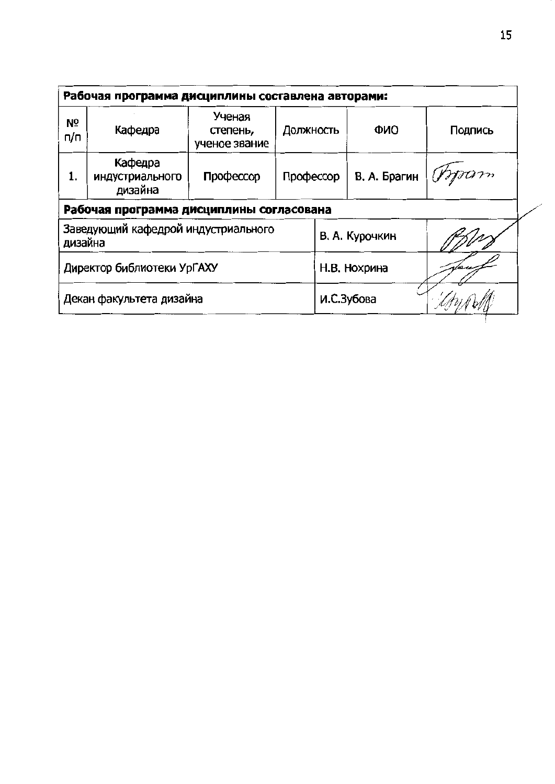| Рабочая программа дисциплины составлена авторами: |                                       |                                     |           |                |         |  |  |  |  |
|---------------------------------------------------|---------------------------------------|-------------------------------------|-----------|----------------|---------|--|--|--|--|
| Nº<br>n/n                                         | Кафедра                               | Ученая<br>степень,<br>ученое звание | Должность | <b>ONO</b>     | Подпись |  |  |  |  |
| 1.                                                | Кафедра<br>индустриального<br>дизайна | Профессор                           | Профессор | В. А. Брагин   | Moam    |  |  |  |  |
| Рабочая программа дисциплины согласована          |                                       |                                     |           |                |         |  |  |  |  |
| Заведующий кафедрой индустриального<br>дизайна    |                                       |                                     |           | В. А. Курочкин |         |  |  |  |  |
| Директор библиотеки УрГАХУ                        |                                       |                                     |           | Н.В. Нохрина   |         |  |  |  |  |
| Декан факультета дизайна                          |                                       |                                     |           | И.С.Зубова     |         |  |  |  |  |